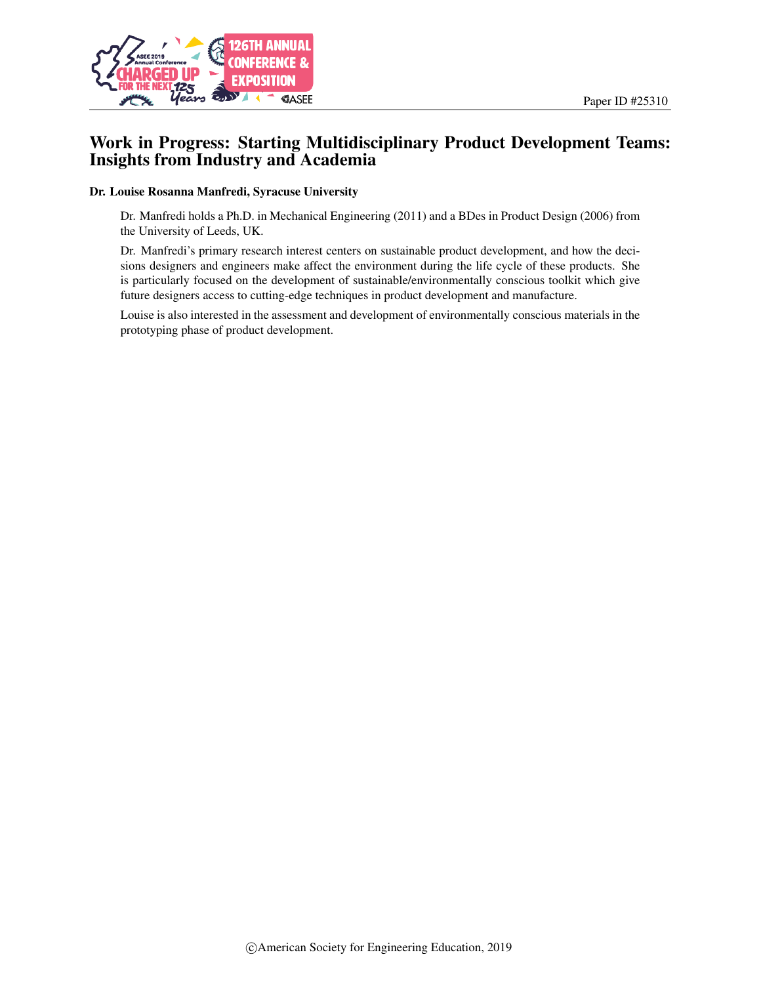

### Work in Progress: Starting Multidisciplinary Product Development Teams: Insights from Industry and Academia

#### Dr. Louise Rosanna Manfredi, Syracuse University

Dr. Manfredi holds a Ph.D. in Mechanical Engineering (2011) and a BDes in Product Design (2006) from the University of Leeds, UK.

Dr. Manfredi's primary research interest centers on sustainable product development, and how the decisions designers and engineers make affect the environment during the life cycle of these products. She is particularly focused on the development of sustainable/environmentally conscious toolkit which give future designers access to cutting-edge techniques in product development and manufacture.

Louise is also interested in the assessment and development of environmentally conscious materials in the prototyping phase of product development.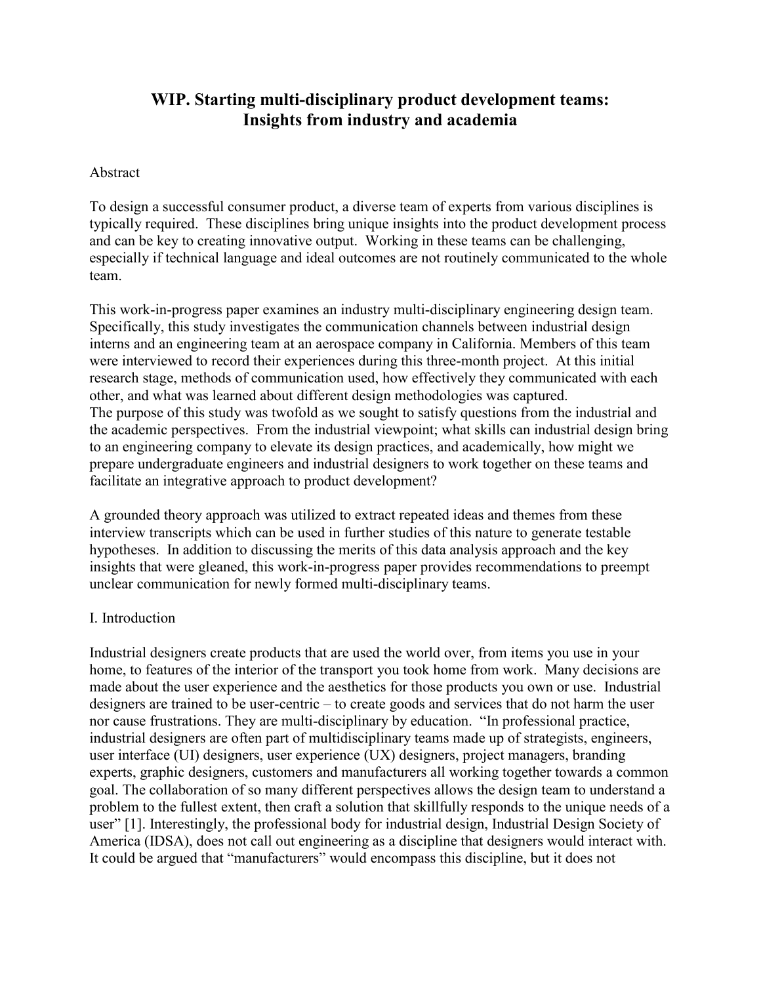# **WIP. Starting multi-disciplinary product development teams: Insights from industry and academia**

#### Abstract

To design a successful consumer product, a diverse team of experts from various disciplines is typically required. These disciplines bring unique insights into the product development process and can be key to creating innovative output. Working in these teams can be challenging, especially if technical language and ideal outcomes are not routinely communicated to the whole team.

This work-in-progress paper examines an industry multi-disciplinary engineering design team. Specifically, this study investigates the communication channels between industrial design interns and an engineering team at an aerospace company in California. Members of this team were interviewed to record their experiences during this three-month project. At this initial research stage, methods of communication used, how effectively they communicated with each other, and what was learned about different design methodologies was captured. The purpose of this study was twofold as we sought to satisfy questions from the industrial and the academic perspectives. From the industrial viewpoint; what skills can industrial design bring to an engineering company to elevate its design practices, and academically, how might we prepare undergraduate engineers and industrial designers to work together on these teams and facilitate an integrative approach to product development?

A grounded theory approach was utilized to extract repeated ideas and themes from these interview transcripts which can be used in further studies of this nature to generate testable hypotheses. In addition to discussing the merits of this data analysis approach and the key insights that were gleaned, this work-in-progress paper provides recommendations to preempt unclear communication for newly formed multi-disciplinary teams.

### I. Introduction

Industrial designers create products that are used the world over, from items you use in your home, to features of the interior of the transport you took home from work. Many decisions are made about the user experience and the aesthetics for those products you own or use. Industrial designers are trained to be user-centric – to create goods and services that do not harm the user nor cause frustrations. They are multi-disciplinary by education. "In professional practice, industrial designers are often part of multidisciplinary teams made up of strategists, engineers, user interface (UI) designers, user experience (UX) designers, project managers, branding experts, graphic designers, customers and manufacturers all working together towards a common goal. The collaboration of so many different perspectives allows the design team to understand a problem to the fullest extent, then craft a solution that skillfully responds to the unique needs of a user" [1]. Interestingly, the professional body for industrial design, Industrial Design Society of America (IDSA), does not call out engineering as a discipline that designers would interact with. It could be argued that "manufacturers" would encompass this discipline, but it does not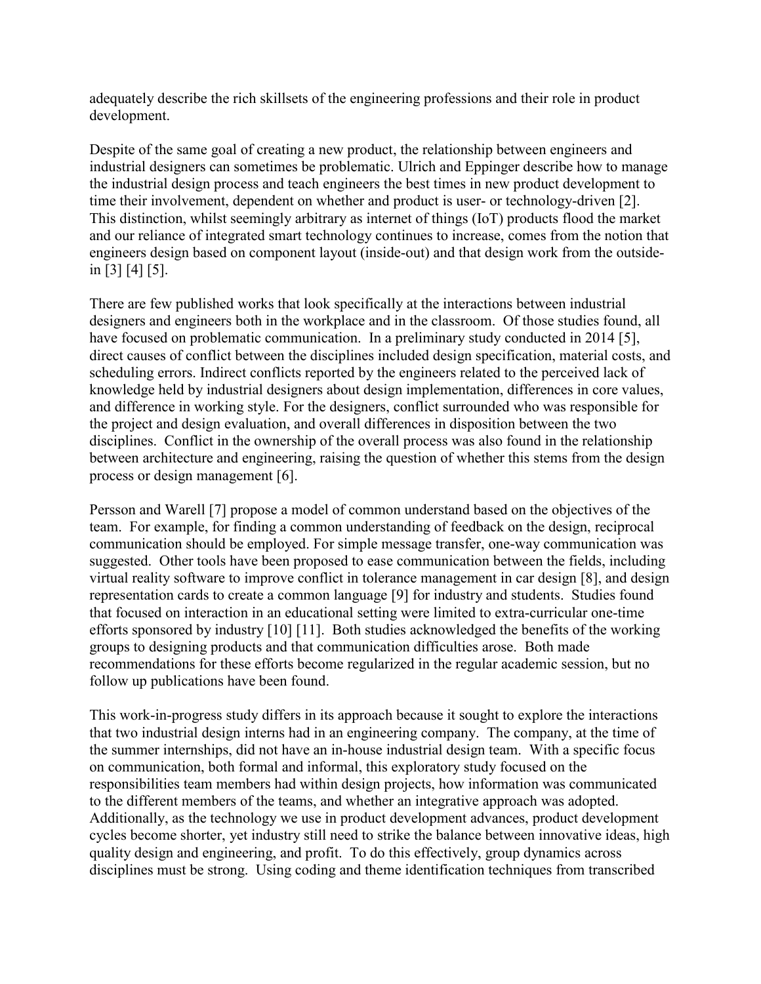adequately describe the rich skillsets of the engineering professions and their role in product development.

Despite of the same goal of creating a new product, the relationship between engineers and industrial designers can sometimes be problematic. Ulrich and Eppinger describe how to manage the industrial design process and teach engineers the best times in new product development to time their involvement, dependent on whether and product is user- or technology-driven [2]. This distinction, whilst seemingly arbitrary as internet of things (IoT) products flood the market and our reliance of integrated smart technology continues to increase, comes from the notion that engineers design based on component layout (inside-out) and that design work from the outsidein [3] [4] [5].

There are few published works that look specifically at the interactions between industrial designers and engineers both in the workplace and in the classroom. Of those studies found, all have focused on problematic communication. In a preliminary study conducted in 2014 [5], direct causes of conflict between the disciplines included design specification, material costs, and scheduling errors. Indirect conflicts reported by the engineers related to the perceived lack of knowledge held by industrial designers about design implementation, differences in core values, and difference in working style. For the designers, conflict surrounded who was responsible for the project and design evaluation, and overall differences in disposition between the two disciplines. Conflict in the ownership of the overall process was also found in the relationship between architecture and engineering, raising the question of whether this stems from the design process or design management [6].

Persson and Warell [7] propose a model of common understand based on the objectives of the team. For example, for finding a common understanding of feedback on the design, reciprocal communication should be employed. For simple message transfer, one-way communication was suggested. Other tools have been proposed to ease communication between the fields, including virtual reality software to improve conflict in tolerance management in car design [8], and design representation cards to create a common language [9] for industry and students. Studies found that focused on interaction in an educational setting were limited to extra-curricular one-time efforts sponsored by industry [10] [11]. Both studies acknowledged the benefits of the working groups to designing products and that communication difficulties arose. Both made recommendations for these efforts become regularized in the regular academic session, but no follow up publications have been found.

This work-in-progress study differs in its approach because it sought to explore the interactions that two industrial design interns had in an engineering company. The company, at the time of the summer internships, did not have an in-house industrial design team. With a specific focus on communication, both formal and informal, this exploratory study focused on the responsibilities team members had within design projects, how information was communicated to the different members of the teams, and whether an integrative approach was adopted. Additionally, as the technology we use in product development advances, product development cycles become shorter, yet industry still need to strike the balance between innovative ideas, high quality design and engineering, and profit. To do this effectively, group dynamics across disciplines must be strong. Using coding and theme identification techniques from transcribed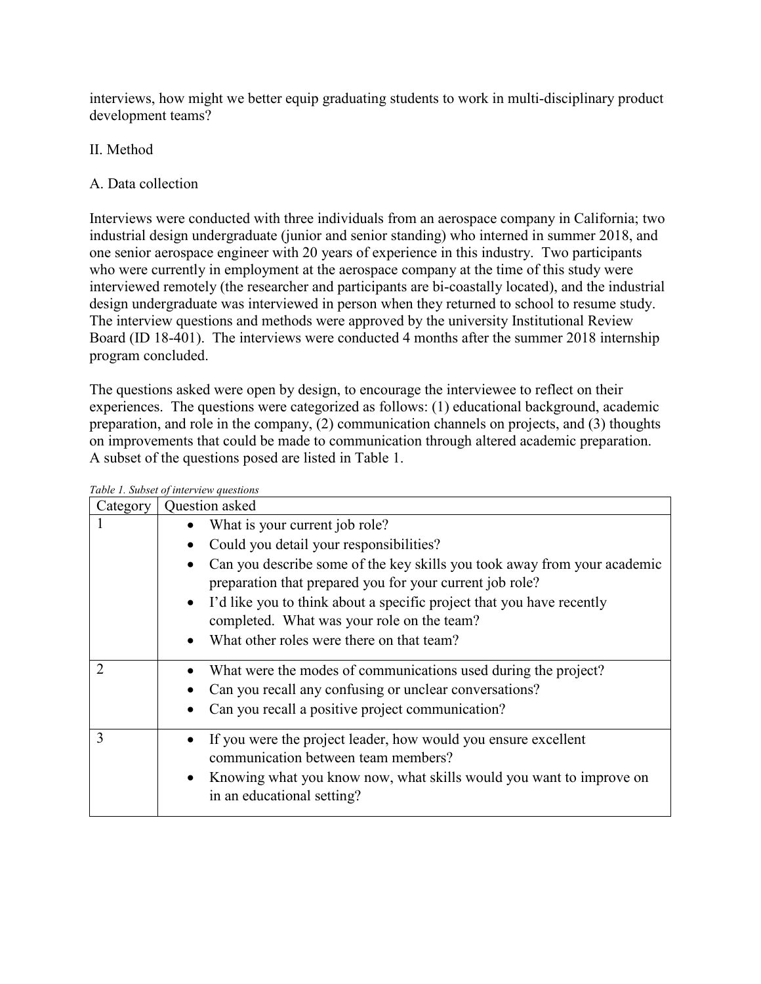interviews, how might we better equip graduating students to work in multi-disciplinary product development teams?

## II. Method

## A. Data collection

Interviews were conducted with three individuals from an aerospace company in California; two industrial design undergraduate (junior and senior standing) who interned in summer 2018, and one senior aerospace engineer with 20 years of experience in this industry. Two participants who were currently in employment at the aerospace company at the time of this study were interviewed remotely (the researcher and participants are bi-coastally located), and the industrial design undergraduate was interviewed in person when they returned to school to resume study. The interview questions and methods were approved by the university Institutional Review Board (ID 18-401). The interviews were conducted 4 months after the summer 2018 internship program concluded.

The questions asked were open by design, to encourage the interviewee to reflect on their experiences. The questions were categorized as follows: (1) educational background, academic preparation, and role in the company, (2) communication channels on projects, and (3) thoughts on improvements that could be made to communication through altered academic preparation. A subset of the questions posed are listed in [Table 1.](#page-3-0)

<span id="page-3-0"></span>

|                             | Table 1. Subset of interview questions                                                                                               |  |
|-----------------------------|--------------------------------------------------------------------------------------------------------------------------------------|--|
| Category                    | Question asked                                                                                                                       |  |
|                             | What is your current job role?                                                                                                       |  |
|                             | Could you detail your responsibilities?<br>$\bullet$                                                                                 |  |
|                             | Can you describe some of the key skills you took away from your academic<br>preparation that prepared you for your current job role? |  |
|                             | I'd like you to think about a specific project that you have recently                                                                |  |
|                             | completed. What was your role on the team?                                                                                           |  |
|                             | • What other roles were there on that team?                                                                                          |  |
| $\mathcal{D}_{\mathcal{L}}$ | What were the modes of communications used during the project?                                                                       |  |
|                             | Can you recall any confusing or unclear conversations?                                                                               |  |
|                             | Can you recall a positive project communication?                                                                                     |  |
| 3                           | If you were the project leader, how would you ensure excellent<br>communication between team members?                                |  |
|                             | Knowing what you know now, what skills would you want to improve on<br>in an educational setting?                                    |  |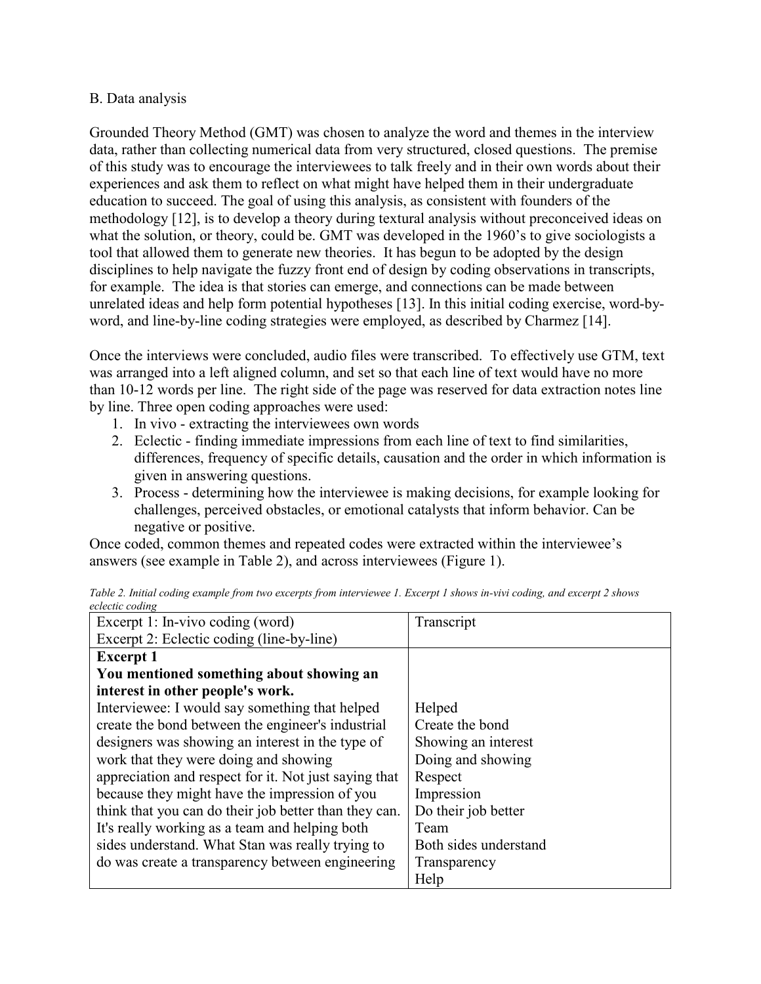### B. Data analysis

Grounded Theory Method (GMT) was chosen to analyze the word and themes in the interview data, rather than collecting numerical data from very structured, closed questions. The premise of this study was to encourage the interviewees to talk freely and in their own words about their experiences and ask them to reflect on what might have helped them in their undergraduate education to succeed. The goal of using this analysis, as consistent with founders of the methodology [12], is to develop a theory during textural analysis without preconceived ideas on what the solution, or theory, could be. GMT was developed in the 1960's to give sociologists a tool that allowed them to generate new theories. It has begun to be adopted by the design disciplines to help navigate the fuzzy front end of design by coding observations in transcripts, for example. The idea is that stories can emerge, and connections can be made between unrelated ideas and help form potential hypotheses [13]. In this initial coding exercise, word-byword, and line-by-line coding strategies were employed, as described by Charmez [14].

Once the interviews were concluded, audio files were transcribed. To effectively use GTM, text was arranged into a left aligned column, and set so that each line of text would have no more than 10-12 words per line. The right side of the page was reserved for data extraction notes line by line. Three open coding approaches were used:

- 1. In vivo extracting the interviewees own words
- 2. Eclectic finding immediate impressions from each line of text to find similarities, differences, frequency of specific details, causation and the order in which information is given in answering questions.
- 3. Process determining how the interviewee is making decisions, for example looking for challenges, perceived obstacles, or emotional catalysts that inform behavior. Can be negative or positive.

Once coded, common themes and repeated codes were extracted within the interviewee's answers (see example in [Table 2\)](#page-4-0), and across interviewees [\(Figure 1\)](#page-5-0).

| Excerpt 1: In-vivo coding (word)                      | Transcript            |
|-------------------------------------------------------|-----------------------|
| Excerpt 2: Eclectic coding (line-by-line)             |                       |
| <b>Excerpt 1</b>                                      |                       |
| You mentioned something about showing an              |                       |
| interest in other people's work.                      |                       |
| Interviewee: I would say something that helped        | Helped                |
| create the bond between the engineer's industrial     | Create the bond       |
| designers was showing an interest in the type of      | Showing an interest   |
| work that they were doing and showing                 | Doing and showing     |
| appreciation and respect for it. Not just saying that | Respect               |
| because they might have the impression of you         | Impression            |
| think that you can do their job better than they can. | Do their job better   |
| It's really working as a team and helping both        | Team                  |
| sides understand. What Stan was really trying to      | Both sides understand |
| do was create a transparency between engineering      | Transparency          |
|                                                       | Help                  |

<span id="page-4-0"></span>

|                 | Table 2. Initial coding example from two excerpts from interviewee 1. Excerpt 1 shows in-vivi coding, and excerpt 2 shows |  |  |
|-----------------|---------------------------------------------------------------------------------------------------------------------------|--|--|
| eclectic coding |                                                                                                                           |  |  |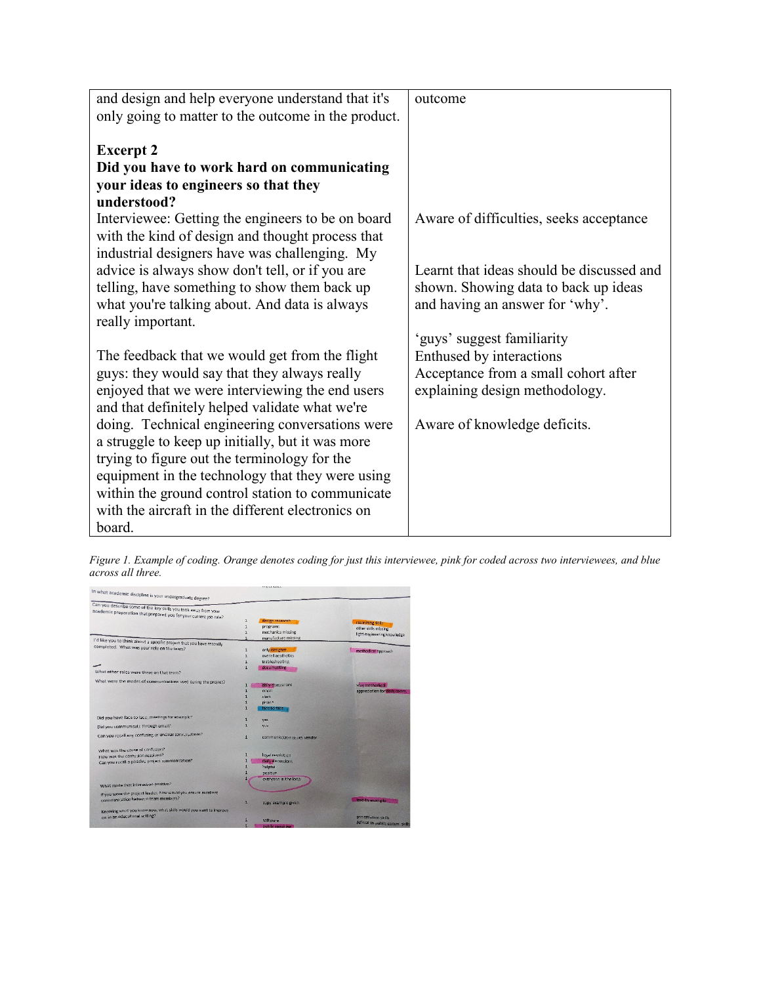| and design and help everyone understand that it's   | outcome                                   |
|-----------------------------------------------------|-------------------------------------------|
| only going to matter to the outcome in the product. |                                           |
|                                                     |                                           |
| <b>Excerpt 2</b>                                    |                                           |
| Did you have to work hard on communicating          |                                           |
| your ideas to engineers so that they                |                                           |
| understood?                                         |                                           |
| Interviewee: Getting the engineers to be on board   | Aware of difficulties, seeks acceptance   |
| with the kind of design and thought process that    |                                           |
| industrial designers have was challenging. My       |                                           |
| advice is always show don't tell, or if you are     | Learnt that ideas should be discussed and |
| telling, have something to show them back up        | shown. Showing data to back up ideas      |
| what you're talking about. And data is always       | and having an answer for 'why'.           |
| really important.                                   |                                           |
|                                                     | 'guys' suggest familiarity                |
| The feedback that we would get from the flight      | Enthused by interactions                  |
| guys: they would say that they always really        | Acceptance from a small cohort after      |
| enjoyed that we were interviewing the end users     | explaining design methodology.            |
| and that definitely helped validate what we're      |                                           |
| doing. Technical engineering conversations were     | Aware of knowledge deficits.              |
| a struggle to keep up initially, but it was more    |                                           |
| trying to figure out the terminology for the        |                                           |
| equipment in the technology that they were using    |                                           |
| within the ground control station to communicate    |                                           |
| with the aircraft in the different electronics on   |                                           |
| board.                                              |                                           |

<span id="page-5-0"></span>*Figure 1. Example of coding. Orange denotes coding for just this interviewee, pink for coded across two interviewees, and blue across all three.*

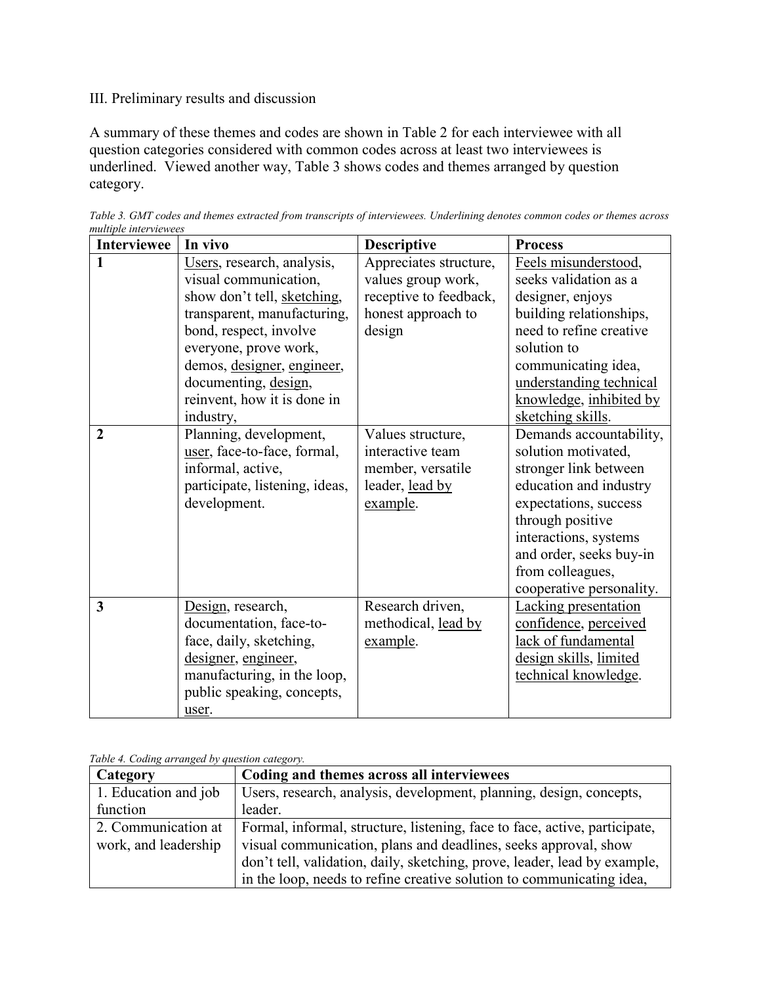## III. Preliminary results and discussion

A summary of these themes and codes are shown in [Table 2](#page-6-0) for each interviewee with all question categories considered with common codes across at least two interviewees is underlined. Viewed another way, [Table 3](#page-6-1) shows codes and themes arranged by question category.

| <b>Interviewee</b>      | In vivo                                             | <b>Descriptive</b>                           | <b>Process</b>                                  |
|-------------------------|-----------------------------------------------------|----------------------------------------------|-------------------------------------------------|
| 1                       | Users, research, analysis,<br>visual communication, | Appreciates structure,<br>values group work, | Feels misunderstood,<br>seeks validation as a   |
|                         | show don't tell, sketching,                         | receptive to feedback,                       | designer, enjoys                                |
|                         | transparent, manufacturing,                         | honest approach to                           | building relationships,                         |
|                         | bond, respect, involve                              | design                                       | need to refine creative                         |
|                         | everyone, prove work,                               |                                              | solution to                                     |
|                         | demos, designer, engineer,                          |                                              | communicating idea,                             |
|                         | documenting, design,                                |                                              | understanding technical                         |
|                         | reinvent, how it is done in                         |                                              | knowledge, inhibited by                         |
|                         | industry,                                           |                                              | sketching skills.                               |
| $\overline{2}$          | Planning, development,                              | Values structure,<br>interactive team        | Demands accountability,                         |
|                         | user, face-to-face, formal,<br>informal, active,    | member, versatile                            | solution motivated,<br>stronger link between    |
|                         |                                                     | leader, lead by                              |                                                 |
|                         | participate, listening, ideas,<br>development.      | example.                                     | education and industry<br>expectations, success |
|                         |                                                     |                                              | through positive                                |
|                         |                                                     |                                              | interactions, systems                           |
|                         |                                                     |                                              | and order, seeks buy-in                         |
|                         |                                                     |                                              | from colleagues,                                |
|                         |                                                     |                                              | cooperative personality.                        |
| $\overline{\mathbf{3}}$ | Design, research,                                   | Research driven,                             | <b>Lacking presentation</b>                     |
|                         | documentation, face-to-                             | methodical, lead by                          | confidence, perceived                           |
|                         | face, daily, sketching,                             | example.                                     | lack of fundamental                             |
|                         | designer, engineer,                                 |                                              | design skills, limited                          |
|                         | manufacturing, in the loop,                         |                                              | technical knowledge.                            |
|                         | public speaking, concepts,                          |                                              |                                                 |
|                         | user.                                               |                                              |                                                 |

<span id="page-6-0"></span>*Table 3. GMT codes and themes extracted from transcripts of interviewees. Underlining denotes common codes or themes across multiple interviewees*

<span id="page-6-1"></span>

|--|

| Category             | Coding and themes across all interviewees                                  |
|----------------------|----------------------------------------------------------------------------|
| 1. Education and job | Users, research, analysis, development, planning, design, concepts,        |
| function             | leader.                                                                    |
| 2. Communication at  | Formal, informal, structure, listening, face to face, active, participate, |
| work, and leadership | visual communication, plans and deadlines, seeks approval, show            |
|                      | don't tell, validation, daily, sketching, prove, leader, lead by example,  |
|                      | in the loop, needs to refine creative solution to communicating idea,      |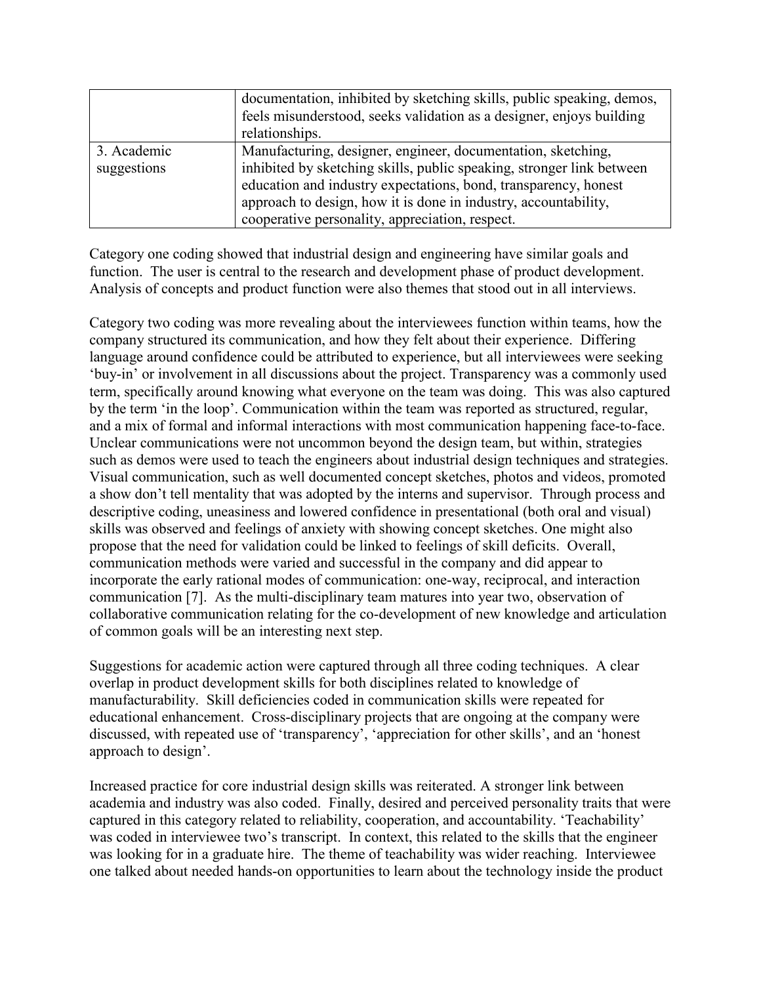|             | documentation, inhibited by sketching skills, public speaking, demos,<br>feels misunderstood, seeks validation as a designer, enjoys building<br>relationships. |
|-------------|-----------------------------------------------------------------------------------------------------------------------------------------------------------------|
|             |                                                                                                                                                                 |
| 3. Academic | Manufacturing, designer, engineer, documentation, sketching,                                                                                                    |
| suggestions | inhibited by sketching skills, public speaking, stronger link between                                                                                           |
|             | education and industry expectations, bond, transparency, honest                                                                                                 |
|             | approach to design, how it is done in industry, accountability,                                                                                                 |
|             | cooperative personality, appreciation, respect.                                                                                                                 |

Category one coding showed that industrial design and engineering have similar goals and function. The user is central to the research and development phase of product development. Analysis of concepts and product function were also themes that stood out in all interviews.

Category two coding was more revealing about the interviewees function within teams, how the company structured its communication, and how they felt about their experience. Differing language around confidence could be attributed to experience, but all interviewees were seeking 'buy-in' or involvement in all discussions about the project. Transparency was a commonly used term, specifically around knowing what everyone on the team was doing. This was also captured by the term 'in the loop'. Communication within the team was reported as structured, regular, and a mix of formal and informal interactions with most communication happening face-to-face. Unclear communications were not uncommon beyond the design team, but within, strategies such as demos were used to teach the engineers about industrial design techniques and strategies. Visual communication, such as well documented concept sketches, photos and videos, promoted a show don't tell mentality that was adopted by the interns and supervisor. Through process and descriptive coding, uneasiness and lowered confidence in presentational (both oral and visual) skills was observed and feelings of anxiety with showing concept sketches. One might also propose that the need for validation could be linked to feelings of skill deficits. Overall, communication methods were varied and successful in the company and did appear to incorporate the early rational modes of communication: one-way, reciprocal, and interaction communication [7]. As the multi-disciplinary team matures into year two, observation of collaborative communication relating for the co-development of new knowledge and articulation of common goals will be an interesting next step.

Suggestions for academic action were captured through all three coding techniques. A clear overlap in product development skills for both disciplines related to knowledge of manufacturability. Skill deficiencies coded in communication skills were repeated for educational enhancement. Cross-disciplinary projects that are ongoing at the company were discussed, with repeated use of 'transparency', 'appreciation for other skills', and an 'honest approach to design'.

Increased practice for core industrial design skills was reiterated. A stronger link between academia and industry was also coded. Finally, desired and perceived personality traits that were captured in this category related to reliability, cooperation, and accountability. 'Teachability' was coded in interviewee two's transcript. In context, this related to the skills that the engineer was looking for in a graduate hire. The theme of teachability was wider reaching. Interviewee one talked about needed hands-on opportunities to learn about the technology inside the product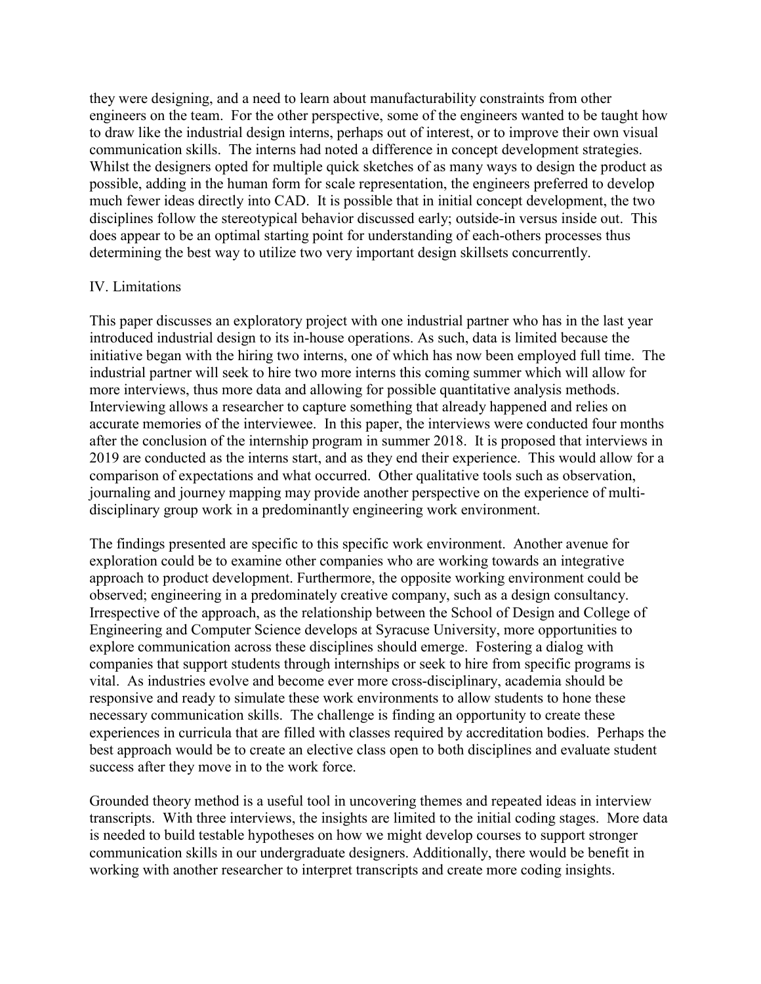they were designing, and a need to learn about manufacturability constraints from other engineers on the team. For the other perspective, some of the engineers wanted to be taught how to draw like the industrial design interns, perhaps out of interest, or to improve their own visual communication skills. The interns had noted a difference in concept development strategies. Whilst the designers opted for multiple quick sketches of as many ways to design the product as possible, adding in the human form for scale representation, the engineers preferred to develop much fewer ideas directly into CAD. It is possible that in initial concept development, the two disciplines follow the stereotypical behavior discussed early; outside-in versus inside out. This does appear to be an optimal starting point for understanding of each-others processes thus determining the best way to utilize two very important design skillsets concurrently.

### IV. Limitations

This paper discusses an exploratory project with one industrial partner who has in the last year introduced industrial design to its in-house operations. As such, data is limited because the initiative began with the hiring two interns, one of which has now been employed full time. The industrial partner will seek to hire two more interns this coming summer which will allow for more interviews, thus more data and allowing for possible quantitative analysis methods. Interviewing allows a researcher to capture something that already happened and relies on accurate memories of the interviewee. In this paper, the interviews were conducted four months after the conclusion of the internship program in summer 2018. It is proposed that interviews in 2019 are conducted as the interns start, and as they end their experience. This would allow for a comparison of expectations and what occurred. Other qualitative tools such as observation, journaling and journey mapping may provide another perspective on the experience of multidisciplinary group work in a predominantly engineering work environment.

The findings presented are specific to this specific work environment. Another avenue for exploration could be to examine other companies who are working towards an integrative approach to product development. Furthermore, the opposite working environment could be observed; engineering in a predominately creative company, such as a design consultancy. Irrespective of the approach, as the relationship between the School of Design and College of Engineering and Computer Science develops at Syracuse University, more opportunities to explore communication across these disciplines should emerge. Fostering a dialog with companies that support students through internships or seek to hire from specific programs is vital. As industries evolve and become ever more cross-disciplinary, academia should be responsive and ready to simulate these work environments to allow students to hone these necessary communication skills. The challenge is finding an opportunity to create these experiences in curricula that are filled with classes required by accreditation bodies. Perhaps the best approach would be to create an elective class open to both disciplines and evaluate student success after they move in to the work force.

Grounded theory method is a useful tool in uncovering themes and repeated ideas in interview transcripts. With three interviews, the insights are limited to the initial coding stages. More data is needed to build testable hypotheses on how we might develop courses to support stronger communication skills in our undergraduate designers. Additionally, there would be benefit in working with another researcher to interpret transcripts and create more coding insights.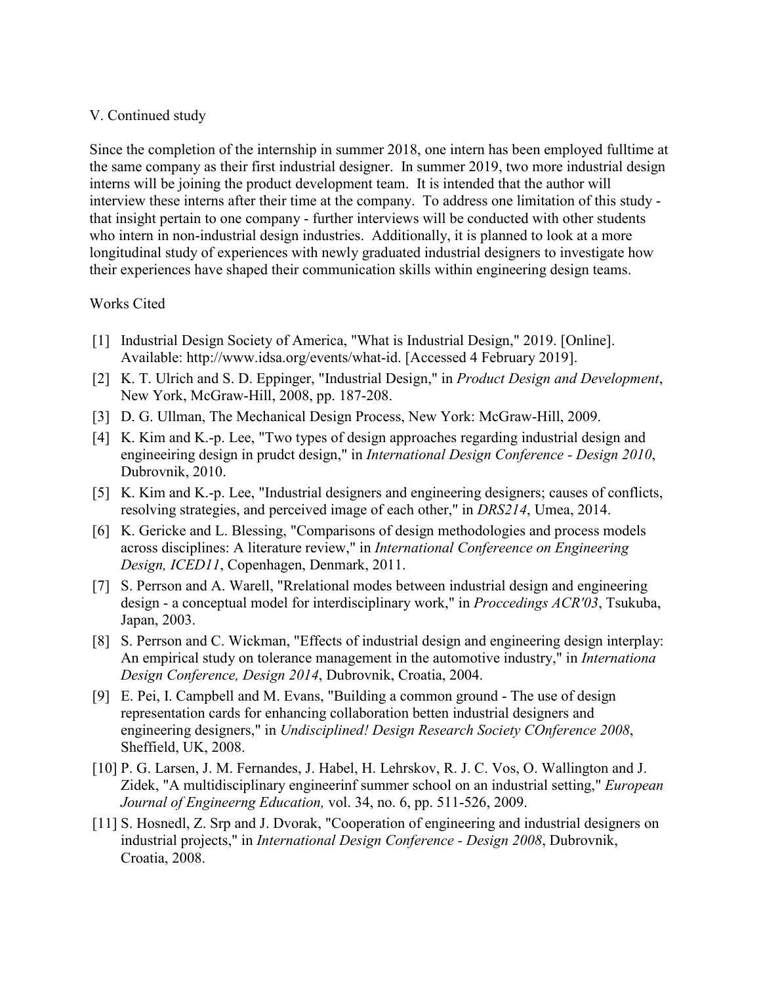#### V. Continued study

Since the completion of the internship in summer 2018, one intern has been employed fulltime at the same company as their first industrial designer. In summer 2019, two more industrial design interns will be joining the product development team. It is intended that the author will interview these interns after their time at the company. To address one limitation of this study that insight pertain to one company - further interviews will be conducted with other students who intern in non-industrial design industries. Additionally, it is planned to look at a more longitudinal study of experiences with newly graduated industrial designers to investigate how their experiences have shaped their communication skills within engineering design teams.

#### Works Cited

- [1] Industrial Design Society of America, "What is Industrial Design," 2019. [Online]. Available: http://www.idsa.org/events/what-id. [Accessed 4 February 2019].
- [2] K. T. Ulrich and S. D. Eppinger, "Industrial Design," in *Product Design and Development*, New York, McGraw-Hill, 2008, pp. 187-208.
- [3] D. G. Ullman, The Mechanical Design Process, New York: McGraw-Hill, 2009.
- [4] K. Kim and K.-p. Lee, "Two types of design approaches regarding industrial design and engineeiring design in prudct design," in *International Design Conference - Design 2010*, Dubrovnik, 2010.
- [5] K. Kim and K.-p. Lee, "Industrial designers and engineering designers; causes of conflicts, resolving strategies, and perceived image of each other," in *DRS214*, Umea, 2014.
- [6] K. Gericke and L. Blessing, "Comparisons of design methodologies and process models across disciplines: A literature review," in *International Confereence on Engineering Design, ICED11*, Copenhagen, Denmark, 2011.
- [7] S. Perrson and A. Warell, "Rrelational modes between industrial design and engineering design - a conceptual model for interdisciplinary work," in *Proccedings ACR'03*, Tsukuba, Japan, 2003.
- [8] S. Perrson and C. Wickman, "Effects of industrial design and engineering design interplay: An empirical study on tolerance management in the automotive industry," in *Internationa Design Conference, Design 2014*, Dubrovnik, Croatia, 2004.
- [9] E. Pei, I. Campbell and M. Evans, "Building a common ground The use of design representation cards for enhancing collaboration betten industrial designers and engineering designers," in *Undisciplined! Design Research Society COnference 2008*, Sheffield, UK, 2008.
- [10] P. G. Larsen, J. M. Fernandes, J. Habel, H. Lehrskov, R. J. C. Vos, O. Wallington and J. Zidek, "A multidisciplinary engineerinf summer school on an industrial setting," *European Journal of Engineerng Education,* vol. 34, no. 6, pp. 511-526, 2009.
- [11] S. Hosnedl, Z. Srp and J. Dvorak, "Cooperation of engineering and industrial designers on industrial projects," in *International Design Conference - Design 2008*, Dubrovnik, Croatia, 2008.